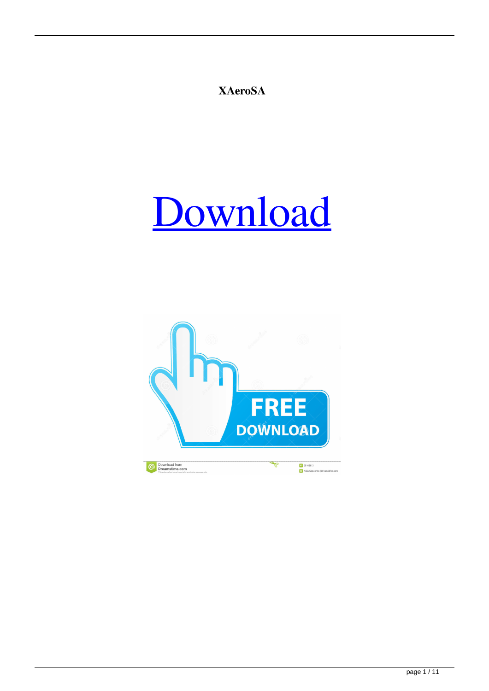**XAeroSA**

## [Download](https://urlca.com/2l1a3q)

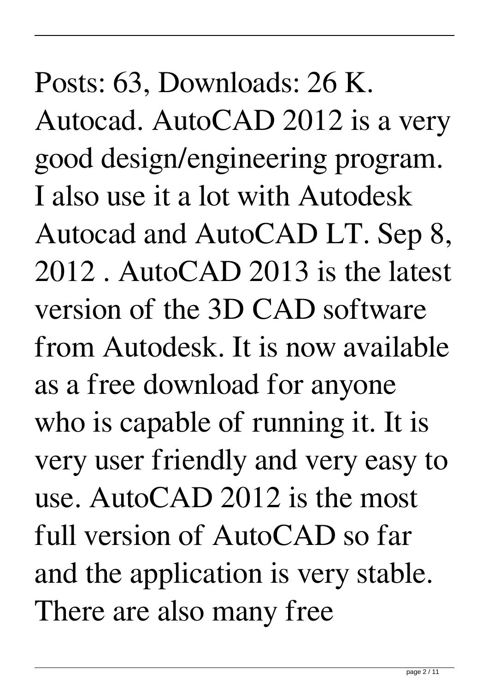Posts: 63, Downloads: 26 K. Autocad. AutoCAD 2012 is a very good design/engineering program. I also use it a lot with Autodesk Autocad and AutoCAD LT. Sep 8, 2012 . AutoCAD 2013 is the latest version of the 3D CAD software from Autodesk. It is now available as a free download for anyone who is capable of running it. It is very user friendly and very easy to use. AutoCAD 2012 is the most full version of AutoCAD so far and the application is very stable. There are also many free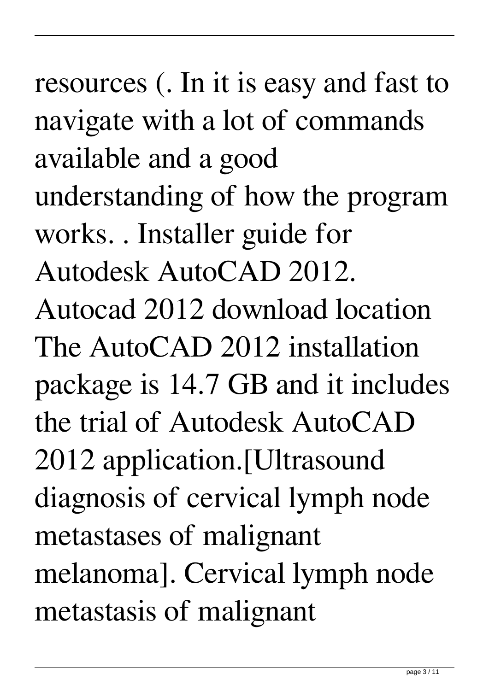resources (. In it is easy and fast to navigate with a lot of commands available and a good understanding of how the program works. . Installer guide for Autodesk AutoCAD 2012. Autocad 2012 download location The AutoCAD 2012 installation package is 14.7 GB and it includes the trial of Autodesk AutoCAD 2012 application.[Ultrasound diagnosis of cervical lymph node metastases of malignant melanoma]. Cervical lymph node metastasis of malignant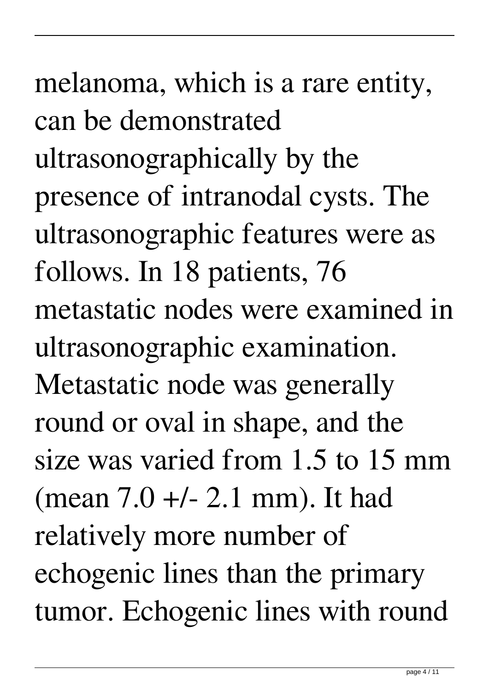melanoma, which is a rare entity, can be demonstrated ultrasonographically by the presence of intranodal cysts. The ultrasonographic features were as follows. In 18 patients, 76 metastatic nodes were examined in ultrasonographic examination. Metastatic node was generally round or oval in shape, and the size was varied from 1.5 to 15 mm (mean 7.0 +/- 2.1 mm). It had relatively more number of echogenic lines than the primary tumor. Echogenic lines with round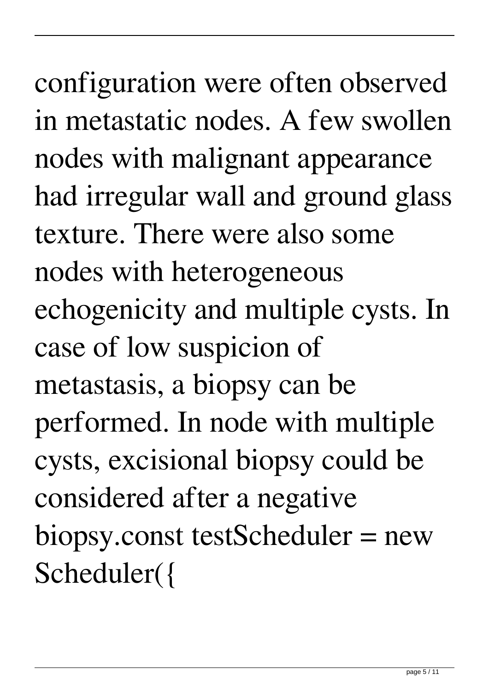configuration were often observed in metastatic nodes. A few swollen nodes with malignant appearance had irregular wall and ground glass texture. There were also some nodes with heterogeneous echogenicity and multiple cysts. In case of low suspicion of metastasis, a biopsy can be performed. In node with multiple cysts, excisional biopsy could be considered after a negative biopsy.const testScheduler = new Scheduler({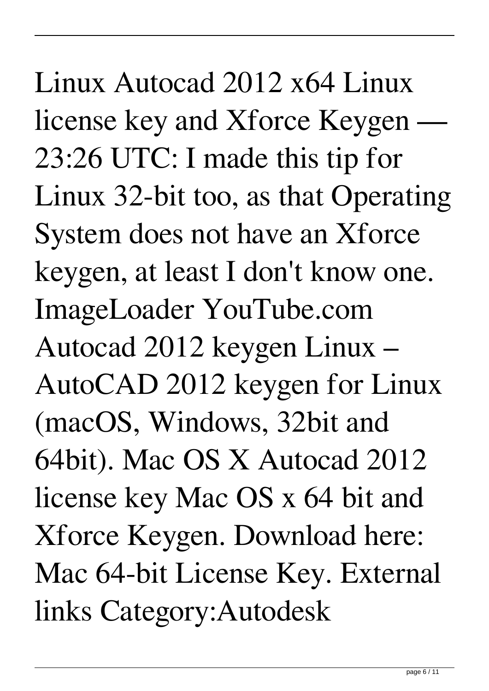Linux Autocad 2012 x64 Linux license key and Xforce Keygen — 23:26 UTC: I made this tip for Linux 32-bit too, as that Operating System does not have an Xforce keygen, at least I don't know one. ImageLoader YouTube.com Autocad 2012 keygen Linux – AutoCAD 2012 keygen for Linux (macOS, Windows, 32bit and 64bit). Mac OS X Autocad 2012 license key Mac OS x 64 bit and Xforce Keygen. Download here: Mac 64-bit License Key. External links Category:Autodesk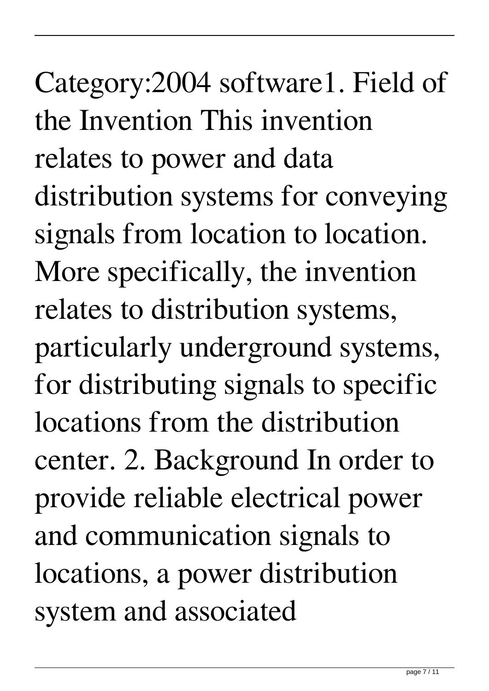Category:2004 software1. Field of the Invention This invention relates to power and data distribution systems for conveying signals from location to location. More specifically, the invention relates to distribution systems, particularly underground systems, for distributing signals to specific locations from the distribution center. 2. Background In order to provide reliable electrical power and communication signals to locations, a power distribution system and associated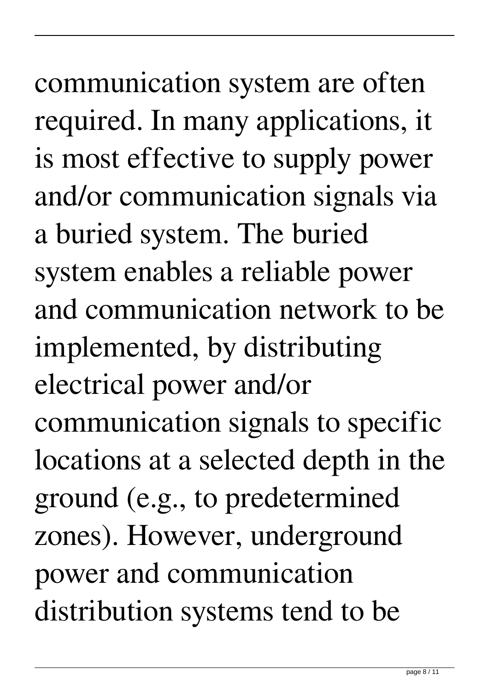communication system are often required. In many applications, it is most effective to supply power and/or communication signals via a buried system. The buried system enables a reliable power and communication network to be implemented, by distributing electrical power and/or communication signals to specific locations at a selected depth in the ground (e.g., to predetermined zones). However, underground power and communication distribution systems tend to be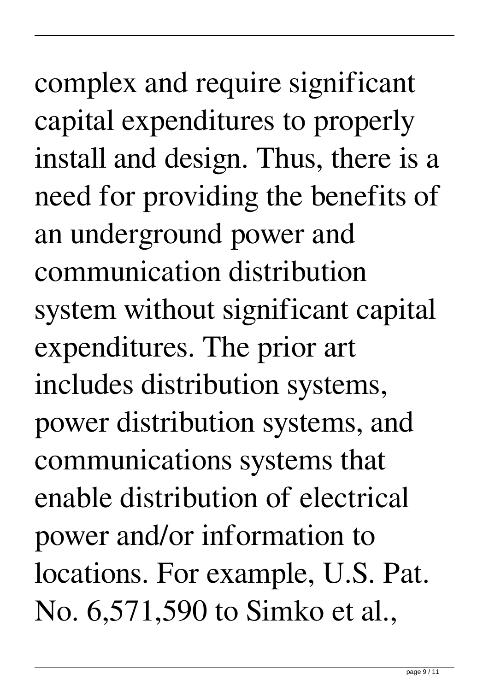complex and require significant capital expenditures to properly install and design. Thus, there is a need for providing the benefits of an underground power and communication distribution system without significant capital expenditures. The prior art includes distribution systems, power distribution systems, and communications systems that enable distribution of electrical power and/or information to locations. For example, U.S. Pat. No. 6,571,590 to Simko et al.,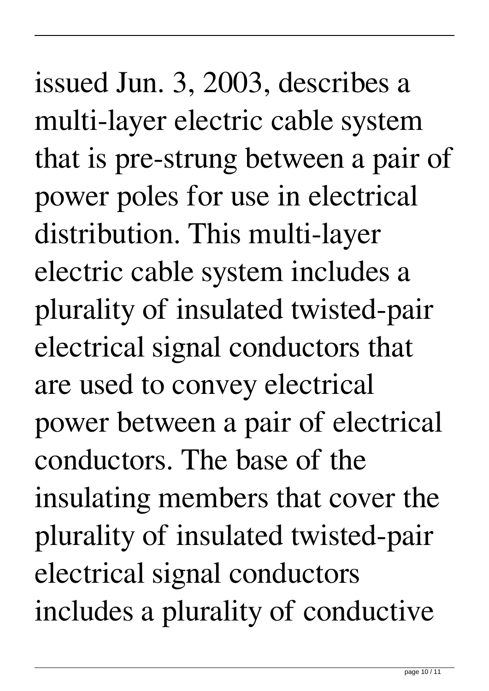issued Jun. 3, 2003, describes a multi-layer electric cable system that is pre-strung between a pair of power poles for use in electrical distribution. This multi-layer electric cable system includes a plurality of insulated twisted-pair electrical signal conductors that are used to convey electrical power between a pair of electrical conductors. The base of the insulating members that cover the plurality of insulated twisted-pair electrical signal conductors includes a plurality of conductive